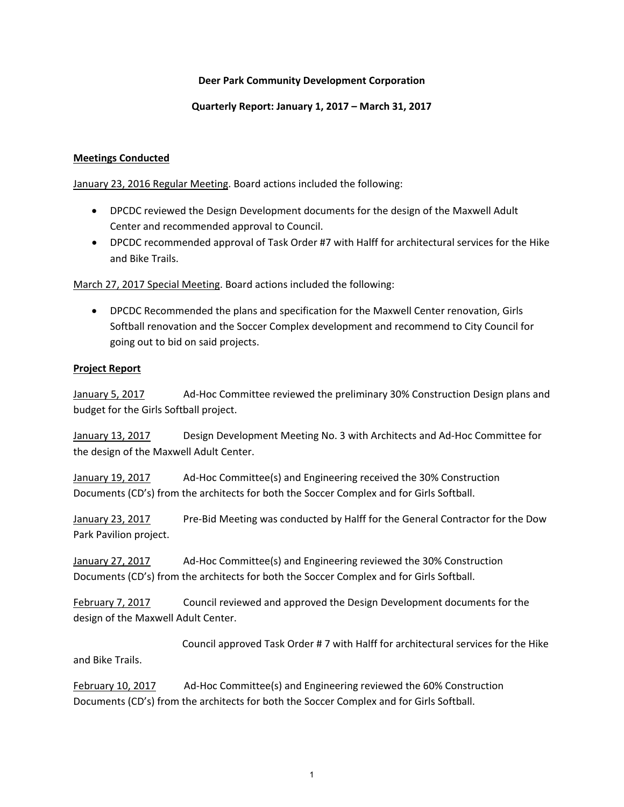# **Deer Park Community Development Corporation**

### **Quarterly Report: January 1, 2017 – March 31, 2017**

### **Meetings Conducted**

January 23, 2016 Regular Meeting. Board actions included the following:

- DPCDC reviewed the Design Development documents for the design of the Maxwell Adult Center and recommended approval to Council.
- DPCDC recommended approval of Task Order #7 with Halff for architectural services for the Hike and Bike Trails.

March 27, 2017 Special Meeting. Board actions included the following:

 DPCDC Recommended the plans and specification for the Maxwell Center renovation, Girls Softball renovation and the Soccer Complex development and recommend to City Council for going out to bid on said projects.

### **Project Report**

January 5, 2017 Ad‐Hoc Committee reviewed the preliminary 30% Construction Design plans and budget for the Girls Softball project.

January 13, 2017 Design Development Meeting No. 3 with Architects and Ad-Hoc Committee for the design of the Maxwell Adult Center.

January 19, 2017 Ad‐Hoc Committee(s) and Engineering received the 30% Construction Documents (CD's) from the architects for both the Soccer Complex and for Girls Softball.

January 23, 2017 Pre‐Bid Meeting was conducted by Halff for the General Contractor for the Dow Park Pavilion project.

January 27, 2017 Ad‐Hoc Committee(s) and Engineering reviewed the 30% Construction Documents (CD's) from the architects for both the Soccer Complex and for Girls Softball.

February 7, 2017 Council reviewed and approved the Design Development documents for the design of the Maxwell Adult Center.

 Council approved Task Order # 7 with Halff for architectural services for the Hike and Bike Trails.

February 10, 2017 Ad‐Hoc Committee(s) and Engineering reviewed the 60% Construction Documents (CD's) from the architects for both the Soccer Complex and for Girls Softball.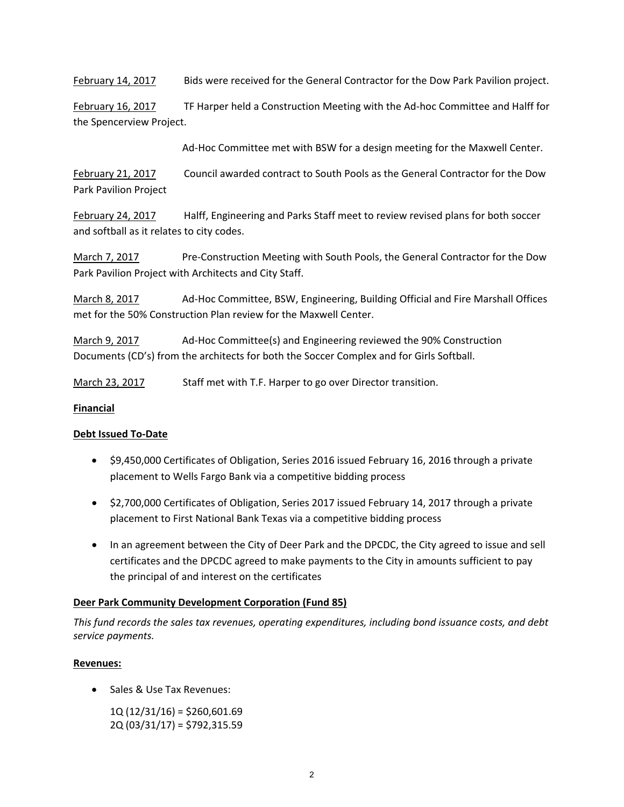February 14, 2017 Bids were received for the General Contractor for the Dow Park Pavilion project.

February 16, 2017 TF Harper held a Construction Meeting with the Ad-hoc Committee and Halff for the Spencerview Project.

Ad‐Hoc Committee met with BSW for a design meeting for the Maxwell Center.

February 21, 2017 Council awarded contract to South Pools as the General Contractor for the Dow Park Pavilion Project

February 24, 2017 Halff, Engineering and Parks Staff meet to review revised plans for both soccer and softball as it relates to city codes.

March 7, 2017 **Bre**-Construction Meeting with South Pools, the General Contractor for the Dow Park Pavilion Project with Architects and City Staff.

March 8, 2017 Ad‐Hoc Committee, BSW, Engineering, Building Official and Fire Marshall Offices met for the 50% Construction Plan review for the Maxwell Center.

March 9, 2017 Ad‐Hoc Committee(s) and Engineering reviewed the 90% Construction Documents (CD's) from the architects for both the Soccer Complex and for Girls Softball.

March 23, 2017 Staff met with T.F. Harper to go over Director transition.

# **Financial**

# **Debt Issued To‐Date**

- \$9,450,000 Certificates of Obligation, Series 2016 issued February 16, 2016 through a private placement to Wells Fargo Bank via a competitive bidding process
- \$2,700,000 Certificates of Obligation, Series 2017 issued February 14, 2017 through a private placement to First National Bank Texas via a competitive bidding process
- In an agreement between the City of Deer Park and the DPCDC, the City agreed to issue and sell certificates and the DPCDC agreed to make payments to the City in amounts sufficient to pay the principal of and interest on the certificates

# **Deer Park Community Development Corporation (Fund 85)**

*This fund records the sales tax revenues, operating expenditures, including bond issuance costs, and debt service payments.*

# **Revenues:**

- Sales & Use Tax Revenues:
	- 1Q (12/31/16) = \$260,601.69 2Q (03/31/17) = \$792,315.59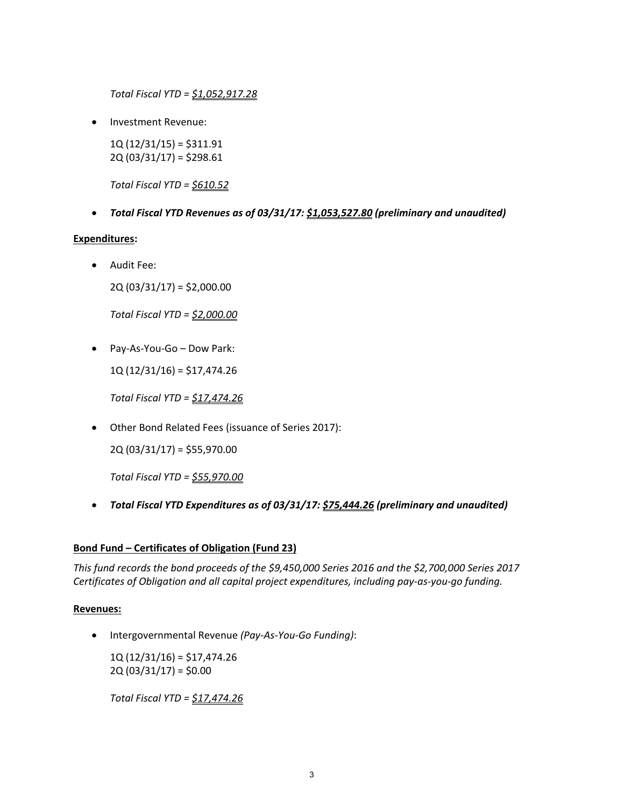*Total Fiscal YTD = \$1,052,917.28*

Investment Revenue:

1Q (12/31/15) = \$311.91 2Q (03/31/17) = \$298.61

*Total Fiscal YTD = \$610.52*

*Total Fiscal YTD Revenues as of 03/31/17: \$1,053,527.80 (preliminary and unaudited)*

### **Expenditures:**

Audit Fee:

2Q (03/31/17) = \$2,000.00

*Total Fiscal YTD = \$2,000.00*

Pay‐As‐You‐Go – Dow Park:

1Q (12/31/16) = \$17,474.26

*Total Fiscal YTD = \$17,474.26*

Other Bond Related Fees (issuance of Series 2017):

2Q (03/31/17) = \$55,970.00

*Total Fiscal YTD = \$55,970.00*

*Total Fiscal YTD Expenditures as of 03/31/17: \$75,444.26 (preliminary and unaudited)*

# **Bond Fund – Certificates of Obligation (Fund 23)**

*This fund records the bond proceeds of the \$9,450,000 Series 2016 and the \$2,700,000 Series 2017 Certificates of Obligation and all capital project expenditures, including pay‐as‐you‐go funding.*

# **Revenues:**

Intergovernmental Revenue *(Pay‐As‐You‐Go Funding)*:

 1Q (12/31/16) = \$17,474.26  $2Q(03/31/17) = $0.00$ 

*Total Fiscal YTD = \$17,474.26*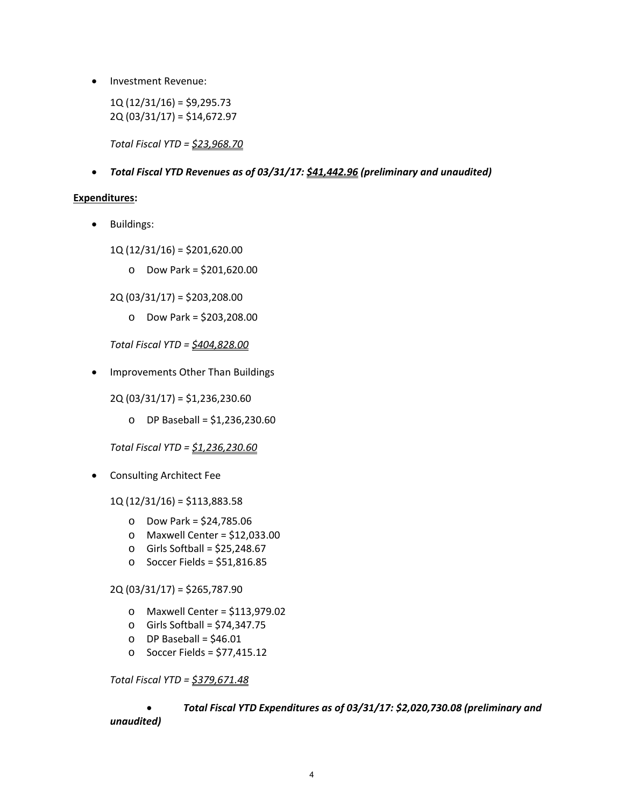• Investment Revenue:

 $1Q(12/31/16) = $9,295.73$ 2Q (03/31/17) = \$14,672.97

*Total Fiscal YTD = \$23,968.70*

*Total Fiscal YTD Revenues as of 03/31/17: \$41,442.96 (preliminary and unaudited)*

#### **Expenditures:**

• Buildings:

1Q (12/31/16) = \$201,620.00

o Dow Park = \$201,620.00

2Q (03/31/17) = \$203,208.00

o Dow Park = \$203,208.00

*Total Fiscal YTD = \$404,828.00*

• Improvements Other Than Buildings

2Q (03/31/17) = \$1,236,230.60

o DP Baseball = \$1,236,230.60

*Total Fiscal YTD = \$1,236,230.60*

Consulting Architect Fee

1Q (12/31/16) = \$113,883.58

- o Dow Park = \$24,785.06
- o Maxwell Center = \$12,033.00
- $\circ$  Girls Softball = \$25,248.67
- o Soccer Fields = \$51,816.85

2Q (03/31/17) = \$265,787.90

- o Maxwell Center = \$113,979.02
- o Girls Softball = \$74,347.75
- $O$  DP Baseball = \$46.01
- o Soccer Fields = \$77,415.12

*Total Fiscal YTD = \$379,671.48*

# *Total Fiscal YTD Expenditures as of 03/31/17: \$2,020,730.08 (preliminary and unaudited)*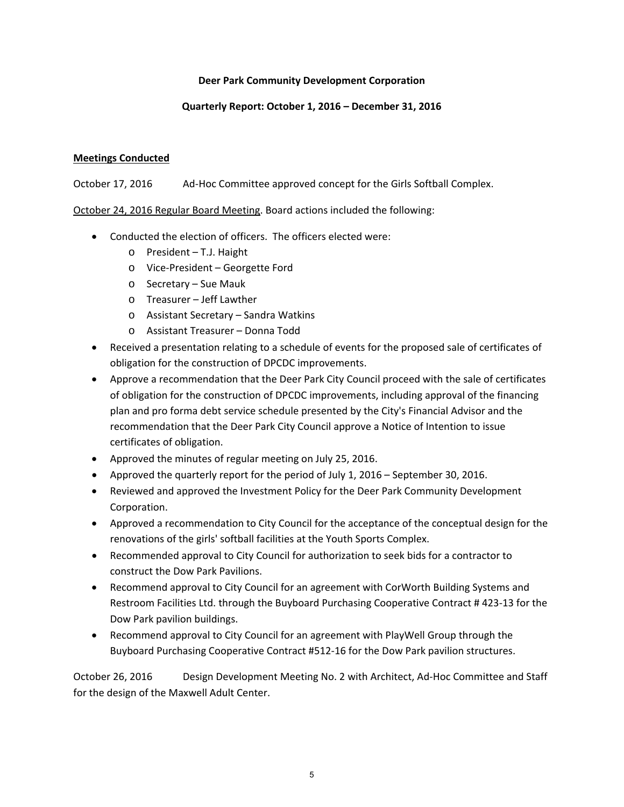# **Deer Park Community Development Corporation**

# **Quarterly Report: October 1, 2016 – December 31, 2016**

# **Meetings Conducted**

October 17, 2016 Ad‐Hoc Committee approved concept for the Girls Softball Complex.

October 24, 2016 Regular Board Meeting. Board actions included the following:

- Conducted the election of officers. The officers elected were:
	- o President T.J. Haight
	- o Vice‐President Georgette Ford
	- o Secretary Sue Mauk
	- o Treasurer Jeff Lawther
	- o Assistant Secretary Sandra Watkins
	- o Assistant Treasurer Donna Todd
- Received a presentation relating to a schedule of events for the proposed sale of certificates of obligation for the construction of DPCDC improvements.
- Approve a recommendation that the Deer Park City Council proceed with the sale of certificates of obligation for the construction of DPCDC improvements, including approval of the financing plan and pro forma debt service schedule presented by the City's Financial Advisor and the recommendation that the Deer Park City Council approve a Notice of Intention to issue certificates of obligation.
- Approved the minutes of regular meeting on July 25, 2016.
- Approved the quarterly report for the period of July 1, 2016 September 30, 2016.
- Reviewed and approved the Investment Policy for the Deer Park Community Development Corporation.
- Approved a recommendation to City Council for the acceptance of the conceptual design for the renovations of the girls' softball facilities at the Youth Sports Complex.
- Recommended approval to City Council for authorization to seek bids for a contractor to construct the Dow Park Pavilions.
- Recommend approval to City Council for an agreement with CorWorth Building Systems and Restroom Facilities Ltd. through the Buyboard Purchasing Cooperative Contract # 423‐13 for the Dow Park pavilion buildings.
- Recommend approval to City Council for an agreement with PlayWell Group through the Buyboard Purchasing Cooperative Contract #512‐16 for the Dow Park pavilion structures.

October 26, 2016 Design Development Meeting No. 2 with Architect, Ad‐Hoc Committee and Staff for the design of the Maxwell Adult Center.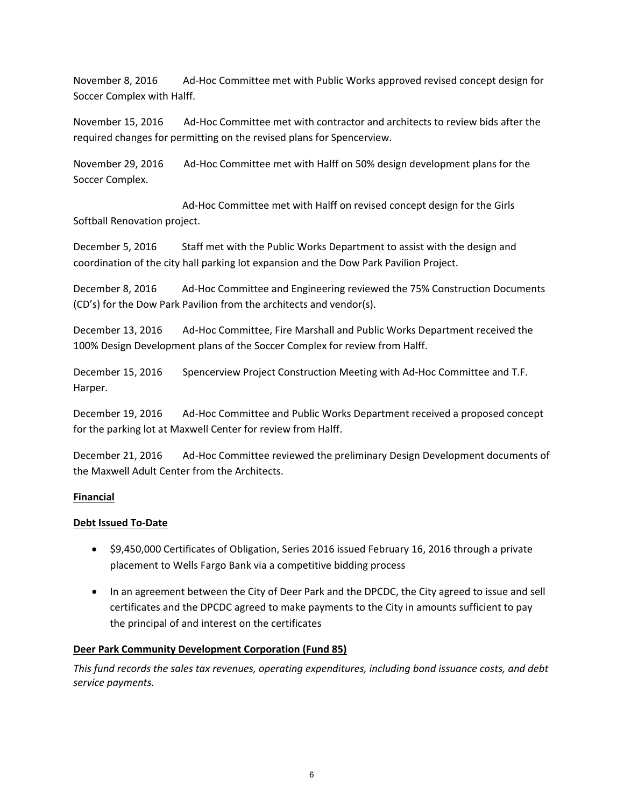November 8, 2016 Ad‐Hoc Committee met with Public Works approved revised concept design for Soccer Complex with Halff.

November 15, 2016 Ad‐Hoc Committee met with contractor and architects to review bids after the required changes for permitting on the revised plans for Spencerview.

November 29, 2016 Ad‐Hoc Committee met with Halff on 50% design development plans for the Soccer Complex.

 Ad‐Hoc Committee met with Halff on revised concept design for the Girls Softball Renovation project.

December 5, 2016 Staff met with the Public Works Department to assist with the design and coordination of the city hall parking lot expansion and the Dow Park Pavilion Project.

December 8, 2016 Ad‐Hoc Committee and Engineering reviewed the 75% Construction Documents (CD's) for the Dow Park Pavilion from the architects and vendor(s).

December 13, 2016 Ad-Hoc Committee, Fire Marshall and Public Works Department received the 100% Design Development plans of the Soccer Complex for review from Halff.

December 15, 2016 Spencerview Project Construction Meeting with Ad‐Hoc Committee and T.F. Harper.

December 19, 2016 Ad-Hoc Committee and Public Works Department received a proposed concept for the parking lot at Maxwell Center for review from Halff.

December 21, 2016 Ad‐Hoc Committee reviewed the preliminary Design Development documents of the Maxwell Adult Center from the Architects.

# **Financial**

# **Debt Issued To‐Date**

- \$9,450,000 Certificates of Obligation, Series 2016 issued February 16, 2016 through a private placement to Wells Fargo Bank via a competitive bidding process
- In an agreement between the City of Deer Park and the DPCDC, the City agreed to issue and sell certificates and the DPCDC agreed to make payments to the City in amounts sufficient to pay the principal of and interest on the certificates

# **Deer Park Community Development Corporation (Fund 85)**

*This fund records the sales tax revenues, operating expenditures, including bond issuance costs, and debt service payments.*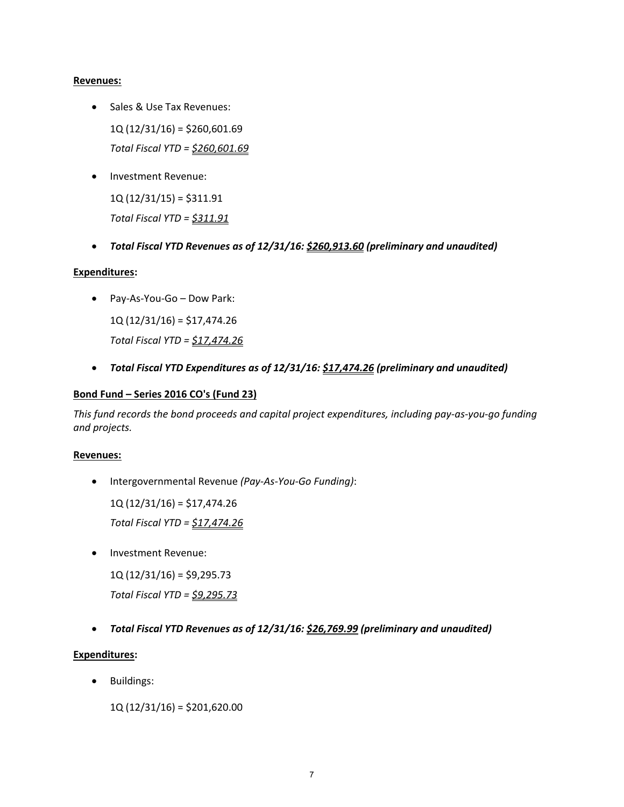### **Revenues:**

- Sales & Use Tax Revenues: 1Q (12/31/16) = \$260,601.69 *Total Fiscal YTD = \$260,601.69*
- Investment Revenue:

 $1Q(12/31/15) = $311.91$ *Total Fiscal YTD = \$311.91*

*Total Fiscal YTD Revenues as of 12/31/16: \$260,913.60 (preliminary and unaudited)*

# **Expenditures:**

Pay‐As‐You‐Go – Dow Park:

1Q (12/31/16) = \$17,474.26 *Total Fiscal YTD = \$17,474.26*

*Total Fiscal YTD Expenditures as of 12/31/16: \$17,474.26 (preliminary and unaudited)*

### **Bond Fund – Series 2016 CO's (Fund 23)**

This fund records the bond proceeds and capital project expenditures, including pay-as-you-go funding *and projects.*

#### **Revenues:**

Intergovernmental Revenue *(Pay‐As‐You‐Go Funding)*:

1Q (12/31/16) = \$17,474.26

*Total Fiscal YTD = \$17,474.26*

Investment Revenue:

 $1Q(12/31/16) = $9,295.73$ 

*Total Fiscal YTD = \$9,295.73*

*Total Fiscal YTD Revenues as of 12/31/16: \$26,769.99 (preliminary and unaudited)*

# **Expenditures:**

Buildings:

1Q (12/31/16) = \$201,620.00